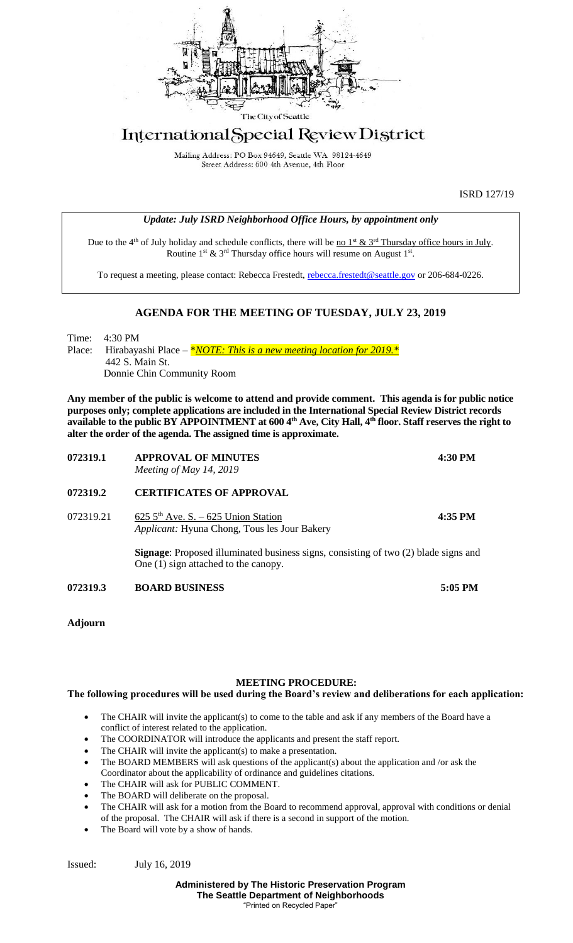

## International Special Review District

Mailing Address: PO Box 94649, Seattle WA 98124-4649 Street Address: 600 4th Avenue, 4th Floor

ISRD 127/19

| Update: July ISRD Neighborhood Office Hours, by appointment only                                                                                                                                                                                                          |  |  |
|---------------------------------------------------------------------------------------------------------------------------------------------------------------------------------------------------------------------------------------------------------------------------|--|--|
| Due to the 4 <sup>th</sup> of July holiday and schedule conflicts, there will be <u>no 1<sup>st</sup> &amp; 3<sup>rd</sup> Thursday office hours in July</u> .<br>Routine 1 <sup>st</sup> & 3 <sup>rd</sup> Thursday office hours will resume on August 1 <sup>st</sup> . |  |  |
| To request a meeting, please contact: Rebecca Frestedt, rebecca.frestedt@seattle.gov or 206-684-0226.                                                                                                                                                                     |  |  |
|                                                                                                                                                                                                                                                                           |  |  |

## **AGENDA FOR THE MEETING OF TUESDAY, JULY 23, 2019**

Time: 4:30 PM Place: Hirabayashi Place – *\*<u>NOTE:</u> This is a new meeting location for 2019.* \* 442 S. Main St. Donnie Chin Community Room

**Any member of the public is welcome to attend and provide comment. This agenda is for public notice purposes only; complete applications are included in the International Special Review District records available to the public BY APPOINTMENT at 600 4th Ave, City Hall, 4th floor. Staff reserves the right to alter the order of the agenda. The assigned time is approximate.** 

| 072319.1  | <b>APPROVAL OF MINUTES</b><br>Meeting of May 14, 2019                                                                              | 4:30 PM   |  |
|-----------|------------------------------------------------------------------------------------------------------------------------------------|-----------|--|
| 072319.2  | <b>CERTIFICATES OF APPROVAL</b>                                                                                                    |           |  |
| 072319.21 | $625\,5^{\text{th}}$ Ave. S. – 625 Union Station<br><i>Applicant:</i> Hyuna Chong, Tous les Jour Bakery                            | $4:35$ PM |  |
|           | <b>Signage:</b> Proposed illuminated business signs, consisting of two (2) blade signs and<br>One (1) sign attached to the canopy. |           |  |
| 072319.3  | <b>BOARD BUSINESS</b>                                                                                                              | 5:05 PM   |  |

**Adjourn**

## **MEETING PROCEDURE:**

**The following procedures will be used during the Board's review and deliberations for each application:** 

- The CHAIR will invite the applicant(s) to come to the table and ask if any members of the Board have a conflict of interest related to the application.
- The COORDINATOR will introduce the applicants and present the staff report.
- The CHAIR will invite the applicant(s) to make a presentation.
- The BOARD MEMBERS will ask questions of the applicant(s) about the application and /or ask the Coordinator about the applicability of ordinance and guidelines citations.
- The CHAIR will ask for PUBLIC COMMENT.
- The BOARD will deliberate on the proposal.
- The CHAIR will ask for a motion from the Board to recommend approval, approval with conditions or denial of the proposal. The CHAIR will ask if there is a second in support of the motion.
- The Board will vote by a show of hands.

Issued: July 16, 2019